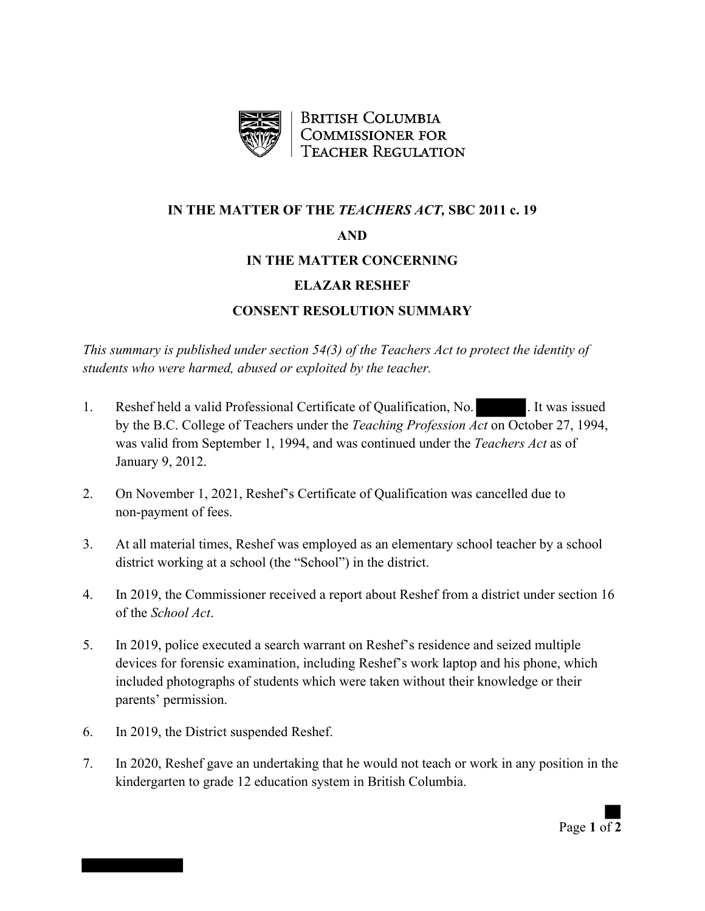

**BRITISH COLUMBIA COMMISSIONER FOR TEACHER REGULATION** 

## **IN THE MATTER OF THE** *TEACHERS ACT,* **SBC 2011 c. 19 AND IN THE MATTER CONCERNING**

## **ELAZAR RESHEF**

## **CONSENT RESOLUTION SUMMARY**

*This summary is published under section 54(3) of the Teachers Act to protect the identity of students who were harmed, abused or exploited by the teacher.*

- 1. Reshef held a valid Professional Certificate of Qualification, No. 11 No. 11 No. 11 No. 21 No. 21 No. 21 No by the B.C. College of Teachers under the *Teaching Profession Act* on October 27, 1994, was valid from September 1, 1994, and was continued under the *Teachers Act* as of January 9, 2012.
- 2. On November 1, 2021, Reshef's Certificate of Qualification was cancelled due to non-payment of fees.
- 3. At all material times, Reshef was employed as an elementary school teacher by a school district working at a school (the "School") in the district.
- 4. In 2019, the Commissioner received a report about Reshef from a district under section 16 of the *School Act*.
- 5. In 2019, police executed a search warrant on Reshef's residence and seized multiple devices for forensic examination, including Reshef's work laptop and his phone, which included photographs of students which were taken without their knowledge or their parents' permission.
- 6. In 2019, the District suspended Reshef.
- 7. In 2020, Reshef gave an undertaking that he would not teach or work in any position in the kindergarten to grade 12 education system in British Columbia.